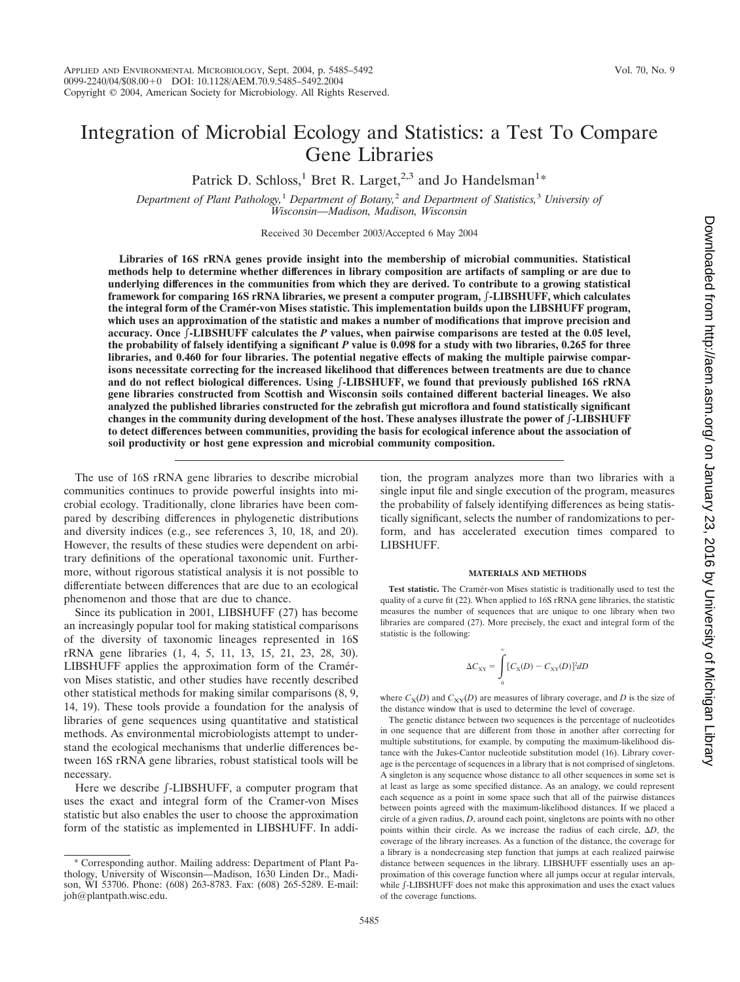# Integration of Microbial Ecology and Statistics: a Test To Compare Gene Libraries

Patrick D. Schloss,<sup>1</sup> Bret R. Larget,<sup>2,3</sup> and Jo Handelsman<sup>1</sup>\*

*Department of Plant Pathology,*<sup>1</sup> *Department of Botany,*<sup>2</sup> *and Department of Statistics,*<sup>3</sup> *University of Wisconsin—Madison, Madison, Wisconsin*

Received 30 December 2003/Accepted 6 May 2004

**Libraries of 16S rRNA genes provide insight into the membership of microbial communities. Statistical methods help to determine whether differences in library composition are artifacts of sampling or are due to underlying differences in the communities from which they are derived. To contribute to a growing statistical framework for comparing 16S rRNA libraries, we present a computer program,** -**-LIBSHUFF, which calculates the integral form of the Crame´r-von Mises statistic. This implementation builds upon the LIBSHUFF program, which uses an approximation of the statistic and makes a number of modifications that improve precision and** accuracy. Once f-LIBSHUFF calculates the P values, when pairwise comparisons are tested at the 0.05 level, **the probability of falsely identifying a significant** *P* **value is 0.098 for a study with two libraries, 0.265 for three libraries, and 0.460 for four libraries. The potential negative effects of making the multiple pairwise comparisons necessitate correcting for the increased likelihood that differences between treatments are due to chance** and do not reflect biological differences. Using f-LIBSHUFF, we found that previously published 16S rRNA **gene libraries constructed from Scottish and Wisconsin soils contained different bacterial lineages. We also analyzed the published libraries constructed for the zebrafish gut microflora and found statistically significant changes in the community during development of the host. These analyses illustrate the power of** -**-LIBSHUFF to detect differences between communities, providing the basis for ecological inference about the association of soil productivity or host gene expression and microbial community composition.**

The use of 16S rRNA gene libraries to describe microbial communities continues to provide powerful insights into microbial ecology. Traditionally, clone libraries have been compared by describing differences in phylogenetic distributions and diversity indices (e.g., see references 3, 10, 18, and 20). However, the results of these studies were dependent on arbitrary definitions of the operational taxonomic unit. Furthermore, without rigorous statistical analysis it is not possible to differentiate between differences that are due to an ecological phenomenon and those that are due to chance.

Since its publication in 2001, LIBSHUFF (27) has become an increasingly popular tool for making statistical comparisons of the diversity of taxonomic lineages represented in 16S rRNA gene libraries (1, 4, 5, 11, 13, 15, 21, 23, 28, 30). LIBSHUFF applies the approximation form of the Cramérvon Mises statistic, and other studies have recently described other statistical methods for making similar comparisons (8, 9, 14, 19). These tools provide a foundation for the analysis of libraries of gene sequences using quantitative and statistical methods. As environmental microbiologists attempt to understand the ecological mechanisms that underlie differences between 16S rRNA gene libraries, robust statistical tools will be necessary.

Here we describe f-LIBSHUFF, a computer program that uses the exact and integral form of the Cramer-von Mises statistic but also enables the user to choose the approximation form of the statistic as implemented in LIBSHUFF. In addiDownloaded from http://aem.asm.org/on January 23, 2016 by University of Michigan Library on January 23, 2016 by University of Michigan Library <http://aem.asm.org/> Downloaded from

tion, the program analyzes more than two libraries with a single input file and single execution of the program, measures the probability of falsely identifying differences as being statistically significant, selects the number of randomizations to perform, and has accelerated execution times compared to LIBSHUFF.

#### **MATERIALS AND METHODS**

Test statistic. The Cramér-von Mises statistic is traditionally used to test the quality of a curve fit (22). When applied to 16S rRNA gene libraries, the statistic measures the number of sequences that are unique to one library when two libraries are compared (27). More precisely, the exact and integral form of the statistic is the following:

$$
\Delta C_{XY} = \int_{0}^{\infty} [C_X(D) - C_{XY}(D)]^2 dD
$$

where  $C_X(D)$  and  $C_{XY}(D)$  are measures of library coverage, and *D* is the size of the distance window that is used to determine the level of coverage.

The genetic distance between two sequences is the percentage of nucleotides in one sequence that are different from those in another after correcting for multiple substitutions, for example, by computing the maximum-likelihood distance with the Jukes-Cantor nucleotide substitution model (16). Library coverage is the percentage of sequences in a library that is not comprised of singletons. A singleton is any sequence whose distance to all other sequences in some set is at least as large as some specified distance. As an analogy, we could represent each sequence as a point in some space such that all of the pairwise distances between points agreed with the maximum-likelihood distances. If we placed a circle of a given radius, *D*, around each point, singletons are points with no other points within their circle. As we increase the radius of each circle, *D*, the coverage of the library increases. As a function of the distance, the coverage for a library is a nondecreasing step function that jumps at each realized pairwise distance between sequences in the library. LIBSHUFF essentially uses an approximation of this coverage function where all jumps occur at regular intervals, while f-LIBSHUFF does not make this approximation and uses the exact values of the coverage functions.

<sup>\*</sup> Corresponding author. Mailing address: Department of Plant Pathology, University of Wisconsin—Madison, 1630 Linden Dr., Madison, WI 53706. Phone: (608) 263-8783. Fax: (608) 265-5289. E-mail: joh@plantpath.wisc.edu.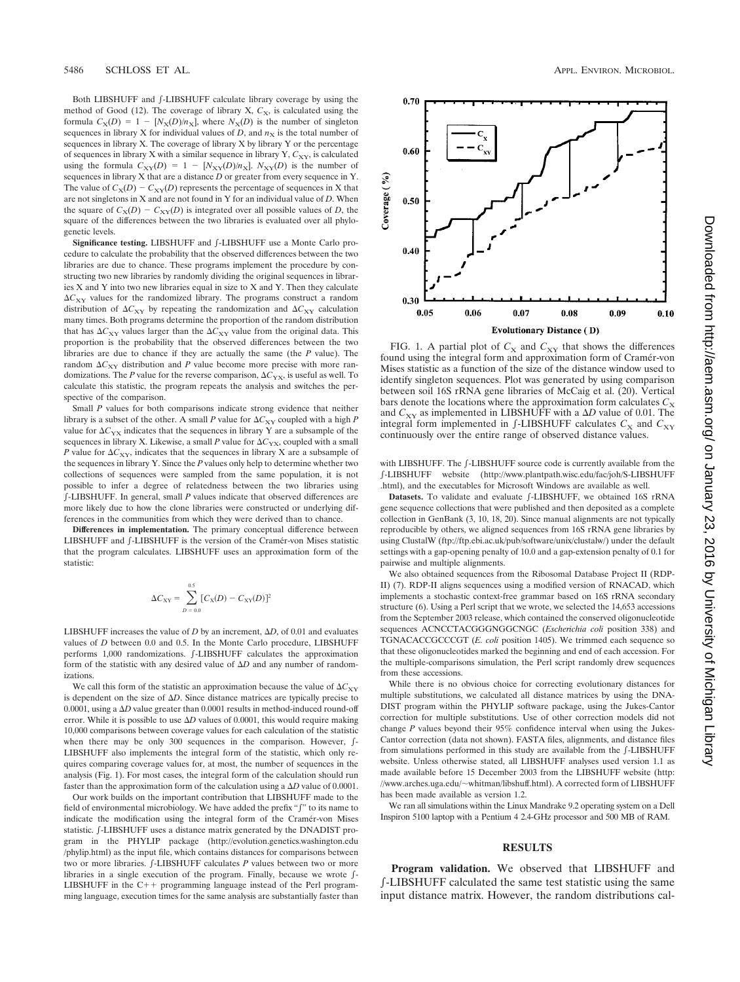Both LIBSHUFF and f-LIBSHUFF calculate library coverage by using the method of Good (12). The coverage of library  $X$ ,  $C_X$ , is calculated using the formula  $C_X(D) = 1 - [N_X(D)/n_X]$ , where  $N_X(D)$  is the number of singleton sequences in library X for individual values of  $D$ , and  $n_X$  is the total number of sequences in library X. The coverage of library X by library Y or the percentage of sequences in library X with a similar sequence in library Y,  $C_{XY}$ , is calculated using the formula  $C_{XY}(D) = 1 - [N_{XY}(D)/n_X]$ .  $N_{XY}(D)$  is the number of sequences in library X that are a distance *D* or greater from every sequence in Y. The value of  $C_X(D) - C_{XY}(D)$  represents the percentage of sequences in X that are not singletons in X and are not found in Y for an individual value of *D*. When the square of  $C_X(D) - C_{XY}(D)$  is integrated over all possible values of *D*, the square of the differences between the two libraries is evaluated over all phylogenetic levels.

Significance testing. LIBSHUFF and *f*-LIBSHUFF use a Monte Carlo procedure to calculate the probability that the observed differences between the two libraries are due to chance. These programs implement the procedure by constructing two new libraries by randomly dividing the original sequences in libraries X and Y into two new libraries equal in size to X and Y. Then they calculate  $\Delta C_{XY}$  values for the randomized library. The programs construct a random distribution of  $\Delta C_{XY}$  by repeating the randomization and  $\Delta C_{XY}$  calculation many times. Both programs determine the proportion of the random distribution that has  $\Delta C_{XY}$  values larger than the  $\Delta C_{XY}$  value from the original data. This proportion is the probability that the observed differences between the two libraries are due to chance if they are actually the same (the *P* value). The random  $\Delta C_{XY}$  distribution and *P* value become more precise with more randomizations. The *P* value for the reverse comparison,  $\Delta C_{\text{YX}}$ , is useful as well. To calculate this statistic, the program repeats the analysis and switches the perspective of the comparison.

Small *P* values for both comparisons indicate strong evidence that neither library is a subset of the other. A small *P* value for  $\Delta C_{XY}$  coupled with a high *P* value for  $\Delta C_{\text{YX}}$  indicates that the sequences in library Y are a subsample of the sequences in library X. Likewise, a small  $P$  value for  $\Delta C_{\text{YX}}$ , coupled with a small *P* value for  $\Delta C_{XY}$ , indicates that the sequences in library X are a subsample of the sequences in library Y. Since the *P* values only help to determine whether two collections of sequences were sampled from the same population, it is not possible to infer a degree of relatedness between the two libraries using --LIBSHUFF. In general, small *P* values indicate that observed differences are more likely due to how the clone libraries were constructed or underlying differences in the communities from which they were derived than to chance.

**Differences in implementation.** The primary conceptual difference between LIBSHUFF and J-LIBSHUFF is the version of the Cramér-von Mises statistic that the program calculates. LIBSHUFF uses an approximation form of the statistic:

$$
\Delta C_{XY} = \sum_{D=0.0}^{0.5} [C_X(D) - C_{XY}(D)]^2
$$

LIBSHUFF increases the value of  $D$  by an increment,  $\Delta D$ , of 0.01 and evaluates values of *D* between 0.0 and 0.5. In the Monte Carlo procedure, LIBSHUFF performs 1,000 randomizations.  $\int$ -LIBSHUFF calculates the approximation form of the statistic with any desired value of  $\Delta D$  and any number of randomizations.

We call this form of the statistic an approximation because the value of  $\Delta C_{XY}$ is dependent on the size of  $\Delta D$ . Since distance matrices are typically precise to 0.0001, using a  $\Delta D$  value greater than 0.0001 results in method-induced round-off error. While it is possible to use  $\Delta D$  values of 0.0001, this would require making 10,000 comparisons between coverage values for each calculation of the statistic when there may be only 300 sequences in the comparison. However,  $\int$ -LIBSHUFF also implements the integral form of the statistic, which only requires comparing coverage values for, at most, the number of sequences in the analysis (Fig. 1). For most cases, the integral form of the calculation should run faster than the approximation form of the calculation using a  $\Delta D$  value of 0.0001.

Our work builds on the important contribution that LIBSHUFF made to the field of environmental microbiology. We have added the prefix " $\int$ " to its name to indicate the modification using the integral form of the Cramér-von Mises statistic. **f-LIBSHUFF** uses a distance matrix generated by the DNADIST program in the PHYLIP package (http://evolution.genetics.washington.edu /phylip.html) as the input file, which contains distances for comparisons between two or more libraries. **f-LIBSHUFF** calculates P values between two or more libraries in a single execution of the program. Finally, because we wrote  $\int$ -LIBSHUFF in the  $C++$  programming language instead of the Perl programming language, execution times for the same analysis are substantially faster than



FIG. 1. A partial plot of  $C_X$  and  $C_{XY}$  that shows the differences found using the integral form and approximation form of Cramér-von Mises statistic as a function of the size of the distance window used to identify singleton sequences. Plot was generated by using comparison between soil 16S rRNA gene libraries of McCaig et al. (20). Vertical bars denote the locations where the approximation form calculates  $C_X$ and  $C_{XY}$  as implemented in LIBSHUFF with a  $\Delta D$  value of 0.01. The integral form implemented in  $\int$ -LIBSHUFF calculates  $C_X$  and  $C_{XY}$ continuously over the entire range of observed distance values.

with LIBSHUFF. The f-LIBSHUFF source code is currently available from the --LIBSHUFF website (http://www.plantpath.wisc.edu/fac/joh/S-LIBSHUFF .html), and the executables for Microsoft Windows are available as well.

Datasets. To validate and evaluate f-LIBSHUFF, we obtained 16S rRNA gene sequence collections that were published and then deposited as a complete collection in GenBank (3, 10, 18, 20). Since manual alignments are not typically reproducible by others, we aligned sequences from 16S rRNA gene libraries by using ClustalW (ftp://ftp.ebi.ac.uk/pub/software/unix/clustalw/) under the default settings with a gap-opening penalty of 10.0 and a gap-extension penalty of 0.1 for pairwise and multiple alignments.

We also obtained sequences from the Ribosomal Database Project II (RDP-II) (7). RDP-II aligns sequences using a modified version of RNACAD, which implements a stochastic context-free grammar based on 16S rRNA secondary structure (6). Using a Perl script that we wrote, we selected the 14,653 accessions from the September 2003 release, which contained the conserved oligonucleotide sequences ACNCCTACGGGNGGCNGC (*Escherichia coli* position 338) and TGNACACCGCCCGT (*E. coli* position 1405). We trimmed each sequence so that these oligonucleotides marked the beginning and end of each accession. For the multiple-comparisons simulation, the Perl script randomly drew sequences from these accessions.

While there is no obvious choice for correcting evolutionary distances for multiple substitutions, we calculated all distance matrices by using the DNA-DIST program within the PHYLIP software package, using the Jukes-Cantor correction for multiple substitutions. Use of other correction models did not change *P* values beyond their 95% confidence interval when using the Jukes-Cantor correction (data not shown). FASTA files, alignments, and distance files from simulations performed in this study are available from the f-LIBSHUFF website. Unless otherwise stated, all LIBSHUFF analyses used version 1.1 as made available before 15 December 2003 from the LIBSHUFF website (http: //www.arches.uga.edu/~whitman/libshuff.html). A corrected form of LIBSHUFF has been made available as version 1.2.

We ran all simulations within the Linux Mandrake 9.2 operating system on a Dell Inspiron 5100 laptop with a Pentium 4 2.4-GHz processor and 500 MB of RAM.

## **RESULTS**

**Program validation.** We observed that LIBSHUFF and --LIBSHUFF calculated the same test statistic using the same input distance matrix. However, the random distributions cal-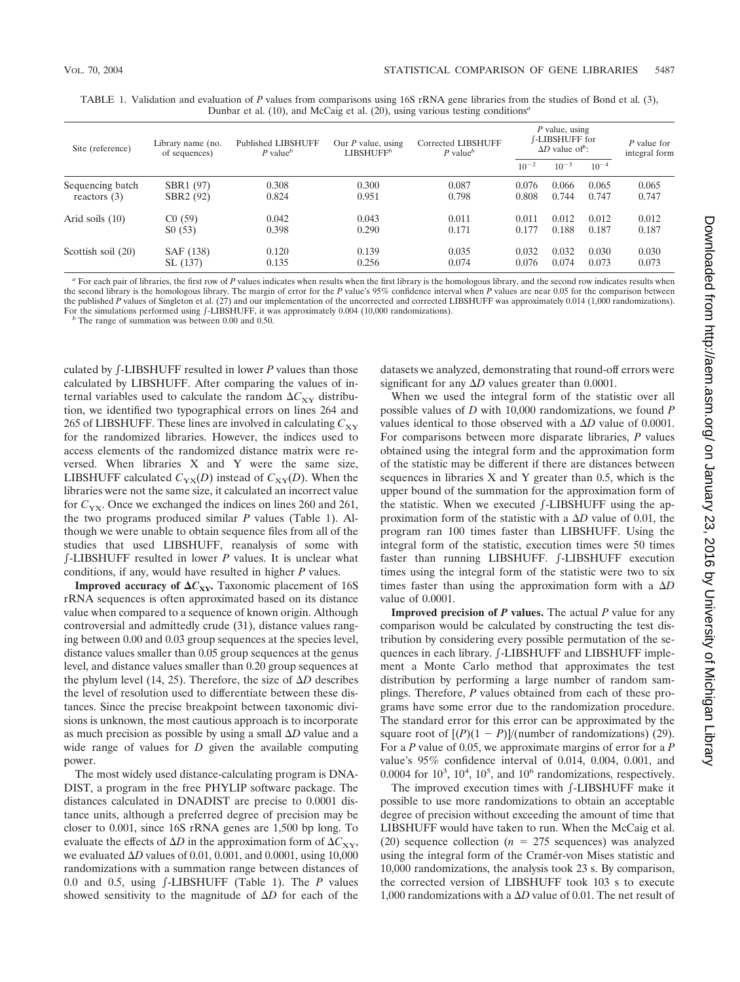| Site (reference)   | Library name (no.<br>of sequences) | Published LIBSHUFF<br>P value $^b$ | Our $P$ value, using<br>$LIBSHUFF^b$ | Corrected LIBSHUFF<br>P value $^b$ | $P$ value, using<br><b>f-LIBSHUFF</b> for<br>$\Delta D$ value of : |           |           | P value for<br>integral form |
|--------------------|------------------------------------|------------------------------------|--------------------------------------|------------------------------------|--------------------------------------------------------------------|-----------|-----------|------------------------------|
|                    |                                    |                                    |                                      |                                    | $10^{-2}$                                                          | $10^{-3}$ | $10^{-4}$ |                              |
| Sequencing batch   | SBR1 (97)                          | 0.308                              | 0.300                                | 0.087                              | 0.076                                                              | 0.066     | 0.065     | 0.065                        |
| reactors $(3)$     | SBR <sub>2</sub> (92)              | 0.824                              | 0.951                                | 0.798                              | 0.808                                                              | 0.744     | 0.747     | 0.747                        |
| Arid soils (10)    | CO(59)                             | 0.042                              | 0.043                                | 0.011                              | 0.011                                                              | 0.012     | 0.012     | 0.012                        |
|                    | $S(6)$ (53)                        | 0.398                              | 0.290                                | 0.171                              | 0.177                                                              | 0.188     | 0.187     | 0.187                        |
| Scottish soil (20) | SAF (138)                          | 0.120                              | 0.139                                | 0.035                              | 0.032                                                              | 0.032     | 0.030     | 0.030                        |
|                    | SL (137)                           | 0.135                              | 0.256                                | 0.074                              | 0.076                                                              | 0.074     | 0.073     | 0.073                        |

TABLE 1. Validation and evaluation of *P* values from comparisons using 16S rRNA gene libraries from the studies of Bond et al. (3), Dunbar et al. (10), and McCaig et al. (20), using various testing conditions*<sup>a</sup>*

*<sup>a</sup>* For each pair of libraries, the first row of *P* values indicates when results when the first library is the homologous library, and the second row indicates results when the second library is the homologous library. The margin of error for the *P* value's 95% confidence interval when *P* values are near 0.05 for the comparison between the published *P* values of Singleton et al. (27) and our implementation of the uncorrected and corrected LIBSHUFF was approximately 0.014 (1,000 randomizations). For the simulations performed using f-LIBSHUFF, it was approximately 0.004 (10,000 randomizations). *b* The range of summation was between 0.00 and 0.50.

culated by f-LIBSHUFF resulted in lower *P* values than those calculated by LIBSHUFF. After comparing the values of internal variables used to calculate the random  $\Delta C_{XY}$  distribution, we identified two typographical errors on lines 264 and 265 of LIBSHUFF. These lines are involved in calculating  $C_{XY}$ for the randomized libraries. However, the indices used to access elements of the randomized distance matrix were reversed. When libraries X and Y were the same size, LIBSHUFF calculated  $C_{YX}(D)$  instead of  $C_{XY}(D)$ . When the libraries were not the same size, it calculated an incorrect value for  $C_{\text{YX}}$ . Once we exchanged the indices on lines 260 and 261, the two programs produced similar *P* values (Table 1). Although we were unable to obtain sequence files from all of the studies that used LIBSHUFF, reanalysis of some with --LIBSHUFF resulted in lower *P* values. It is unclear what conditions, if any, would have resulted in higher *P* values.

**Improved accuracy of**  $\Delta C_{XY}$ **. Taxonomic placement of 16S** rRNA sequences is often approximated based on its distance value when compared to a sequence of known origin. Although controversial and admittedly crude (31), distance values ranging between 0.00 and 0.03 group sequences at the species level, distance values smaller than 0.05 group sequences at the genus level, and distance values smaller than 0.20 group sequences at the phylum level (14, 25). Therefore, the size of  $\Delta D$  describes the level of resolution used to differentiate between these distances. Since the precise breakpoint between taxonomic divisions is unknown, the most cautious approach is to incorporate as much precision as possible by using a small  $\Delta D$  value and a wide range of values for *D* given the available computing power.

The most widely used distance-calculating program is DNA-DIST, a program in the free PHYLIP software package. The distances calculated in DNADIST are precise to 0.0001 distance units, although a preferred degree of precision may be closer to 0.001, since 16S rRNA genes are 1,500 bp long. To evaluate the effects of  $\Delta D$  in the approximation form of  $\Delta C_{XY}$ , we evaluated  $\Delta D$  values of 0.01, 0.001, and 0.0001, using 10,000 randomizations with a summation range between distances of 0.0 and 0.5, using f-LIBSHUFF (Table 1). The *P* values showed sensitivity to the magnitude of  $\Delta D$  for each of the

datasets we analyzed, demonstrating that round-off errors were significant for any  $\Delta D$  values greater than 0.0001.

When we used the integral form of the statistic over all possible values of *D* with 10,000 randomizations, we found *P* values identical to those observed with a  $\Delta D$  value of 0.0001. For comparisons between more disparate libraries, *P* values obtained using the integral form and the approximation form of the statistic may be different if there are distances between sequences in libraries X and Y greater than 0.5, which is the upper bound of the summation for the approximation form of the statistic. When we executed  $\int$ -LIBSHUFF using the approximation form of the statistic with a  $\Delta D$  value of 0.01, the program ran 100 times faster than LIBSHUFF. Using the integral form of the statistic, execution times were 50 times faster than running LIBSHUFF. *f*-LIBSHUFF execution times using the integral form of the statistic were two to six times faster than using the approximation form with a  $\Delta D$ value of 0.0001.

**Improved precision of** *P* **values.** The actual *P* value for any comparison would be calculated by constructing the test distribution by considering every possible permutation of the sequences in each library.  $\int$ -LIBSHUFF and LIBSHUFF implement a Monte Carlo method that approximates the test distribution by performing a large number of random samplings. Therefore, *P* values obtained from each of these programs have some error due to the randomization procedure. The standard error for this error can be approximated by the square root of  $[(P)(1 - P)]/(number$  of randomizations) (29). For a *P* value of 0.05, we approximate margins of error for a *P* value's 95% confidence interval of 0.014, 0.004, 0.001, and  $0.0004$  for  $10^3$ ,  $10^4$ ,  $10^5$ , and  $10^6$  randomizations, respectively.

The improved execution times with  $\int$ -LIBSHUFF make it possible to use more randomizations to obtain an acceptable degree of precision without exceeding the amount of time that LIBSHUFF would have taken to run. When the McCaig et al. (20) sequence collection ( $n = 275$  sequences) was analyzed using the integral form of the Cramér-von Mises statistic and 10,000 randomizations, the analysis took 23 s. By comparison, the corrected version of LIBSHUFF took 103 s to execute 1,000 randomizations with a  $\Delta D$  value of 0.01. The net result of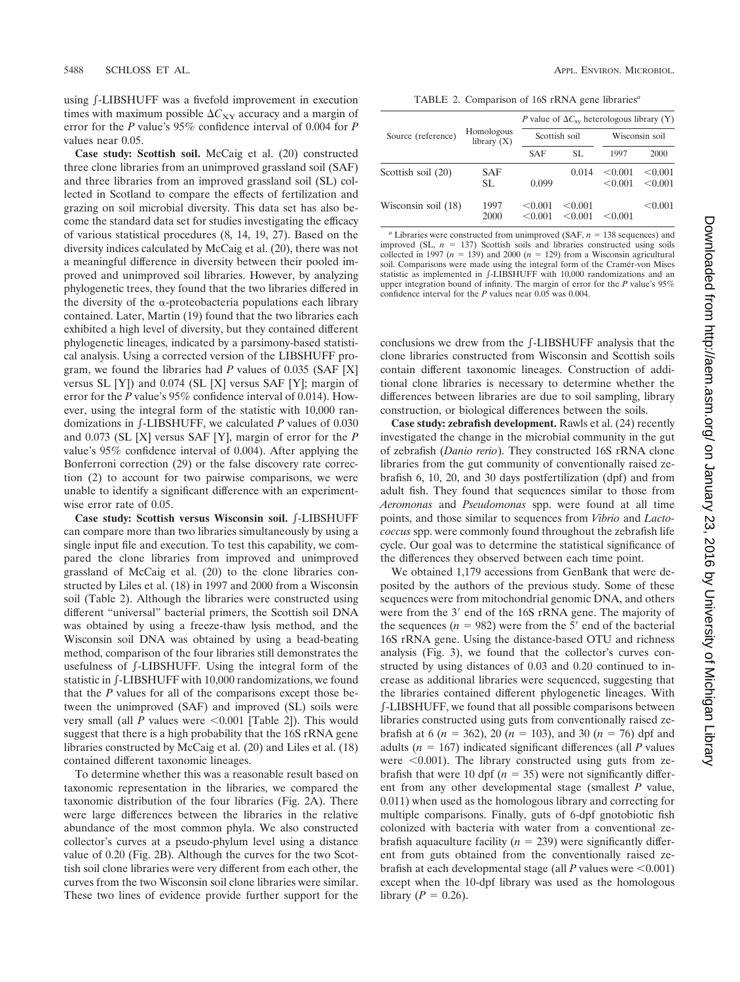using f-LIBSHUFF was a fivefold improvement in execution times with maximum possible  $\Delta C_{XY}$  accuracy and a margin of error for the *P* value's 95% confidence interval of 0.004 for *P* values near 0.05.

**Case study: Scottish soil.** McCaig et al. (20) constructed three clone libraries from an unimproved grassland soil (SAF) and three libraries from an improved grassland soil (SL) collected in Scotland to compare the effects of fertilization and grazing on soil microbial diversity. This data set has also become the standard data set for studies investigating the efficacy of various statistical procedures (8, 14, 19, 27). Based on the diversity indices calculated by McCaig et al. (20), there was not a meaningful difference in diversity between their pooled improved and unimproved soil libraries. However, by analyzing phylogenetic trees, they found that the two libraries differed in the diversity of the  $\alpha$ -proteobacteria populations each library contained. Later, Martin (19) found that the two libraries each exhibited a high level of diversity, but they contained different phylogenetic lineages, indicated by a parsimony-based statistical analysis. Using a corrected version of the LIBSHUFF program, we found the libraries had *P* values of 0.035 (SAF [X] versus SL [Y]) and 0.074 (SL [X] versus SAF [Y]; margin of error for the *P* value's 95% confidence interval of 0.014). However, using the integral form of the statistic with 10,000 randomizations in f-LIBSHUFF, we calculated *P* values of 0.030 and 0.073 (SL [X] versus SAF [Y], margin of error for the *P* value's 95% confidence interval of 0.004). After applying the Bonferroni correction (29) or the false discovery rate correction (2) to account for two pairwise comparisons, we were unable to identify a significant difference with an experimentwise error rate of 0.05.

Case study: Scottish versus Wisconsin soil. **f-LIBSHUFF** can compare more than two libraries simultaneously by using a single input file and execution. To test this capability, we compared the clone libraries from improved and unimproved grassland of McCaig et al. (20) to the clone libraries constructed by Liles et al. (18) in 1997 and 2000 from a Wisconsin soil (Table 2). Although the libraries were constructed using different "universal" bacterial primers, the Scottish soil DNA was obtained by using a freeze-thaw lysis method, and the Wisconsin soil DNA was obtained by using a bead-beating method, comparison of the four libraries still demonstrates the usefulness of f-LIBSHUFF. Using the integral form of the statistic in f-LIBSHUFF with 10,000 randomizations, we found that the *P* values for all of the comparisons except those between the unimproved (SAF) and improved (SL) soils were very small (all  $P$  values were  $\leq 0.001$  [Table 2]). This would suggest that there is a high probability that the 16S rRNA gene libraries constructed by McCaig et al. (20) and Liles et al. (18) contained different taxonomic lineages.

To determine whether this was a reasonable result based on taxonomic representation in the libraries, we compared the taxonomic distribution of the four libraries (Fig. 2A). There were large differences between the libraries in the relative abundance of the most common phyla. We also constructed collector's curves at a pseudo-phylum level using a distance value of 0.20 (Fig. 2B). Although the curves for the two Scottish soil clone libraries were very different from each other, the curves from the two Wisconsin soil clone libraries were similar. These two lines of evidence provide further support for the

TABLE 2. Comparison of 16S rRNA gene libraries*<sup>a</sup>*

|                     |                             | P value of $\Delta C_{\rm xv}$ heterologous library (Y) |                    |                    |                    |  |  |
|---------------------|-----------------------------|---------------------------------------------------------|--------------------|--------------------|--------------------|--|--|
| Source (reference)  | Homologous<br>library $(X)$ |                                                         | Scottish soil      | Wisconsin soil     |                    |  |  |
|                     |                             | <b>SAF</b>                                              | SL.                | 1997               | 2000               |  |  |
| Scottish soil (20)  | SAF<br>SL.                  | 0.099                                                   | 0.014              | < 0.001<br>< 0.001 | < 0.001<br>< 0.001 |  |  |
| Wisconsin soil (18) | 1997<br>2000                | < 0.001<br>< 0.001                                      | < 0.001<br>< 0.001 | < 0.001            | < 0.001            |  |  |

 $a$  Libraries were constructed from unimproved (SAF,  $n = 138$  sequences) and improved (SL,  $n = 137$ ) Scottish soils and libraries constructed using soils collected in 1997 ( $n = 139$ ) and 2000 ( $n = 129$ ) from a Wisconsin agricultural soil. Comparisons were made using the integral form of the Cramér-von Mises statistic as implemented in f-LIBSHUFF with 10,000 randomizations and an upper integration bound of infinity. The margin of error for the *P* value's 95% confidence interval for the *P* values near 0.05 was 0.004.

conclusions we drew from the  $\int$ -LIBSHUFF analysis that the clone libraries constructed from Wisconsin and Scottish soils contain different taxonomic lineages. Construction of additional clone libraries is necessary to determine whether the differences between libraries are due to soil sampling, library construction, or biological differences between the soils.

**Case study: zebrafish development.** Rawls et al. (24) recently investigated the change in the microbial community in the gut of zebrafish (*Danio rerio*). They constructed 16S rRNA clone libraries from the gut community of conventionally raised zebrafish 6, 10, 20, and 30 days postfertilization (dpf) and from adult fish. They found that sequences similar to those from *Aeromonas* and *Pseudomonas* spp. were found at all time points, and those similar to sequences from *Vibrio* and *Lactococcus* spp. were commonly found throughout the zebrafish life cycle. Our goal was to determine the statistical significance of the differences they observed between each time point.

We obtained 1,179 accessions from GenBank that were deposited by the authors of the previous study. Some of these sequences were from mitochondrial genomic DNA, and others were from the 3' end of the 16S rRNA gene. The majority of the sequences  $(n = 982)$  were from the 5' end of the bacterial 16S rRNA gene. Using the distance-based OTU and richness analysis (Fig. 3), we found that the collector's curves constructed by using distances of 0.03 and 0.20 continued to increase as additional libraries were sequenced, suggesting that the libraries contained different phylogenetic lineages. With --LIBSHUFF, we found that all possible comparisons between libraries constructed using guts from conventionally raised zebrafish at 6 ( $n = 362$ ), 20 ( $n = 103$ ), and 30 ( $n = 76$ ) dpf and adults ( $n = 167$ ) indicated significant differences (all *P* values were 0.001). The library constructed using guts from zebrafish that were 10 dpf ( $n = 35$ ) were not significantly different from any other developmental stage (smallest *P* value, 0.011) when used as the homologous library and correcting for multiple comparisons. Finally, guts of 6-dpf gnotobiotic fish colonized with bacteria with water from a conventional zebrafish aquaculture facility ( $n = 239$ ) were significantly different from guts obtained from the conventionally raised zebrafish at each developmental stage (all *P* values were 0.001) except when the 10-dpf library was used as the homologous library ( $P = 0.26$ ).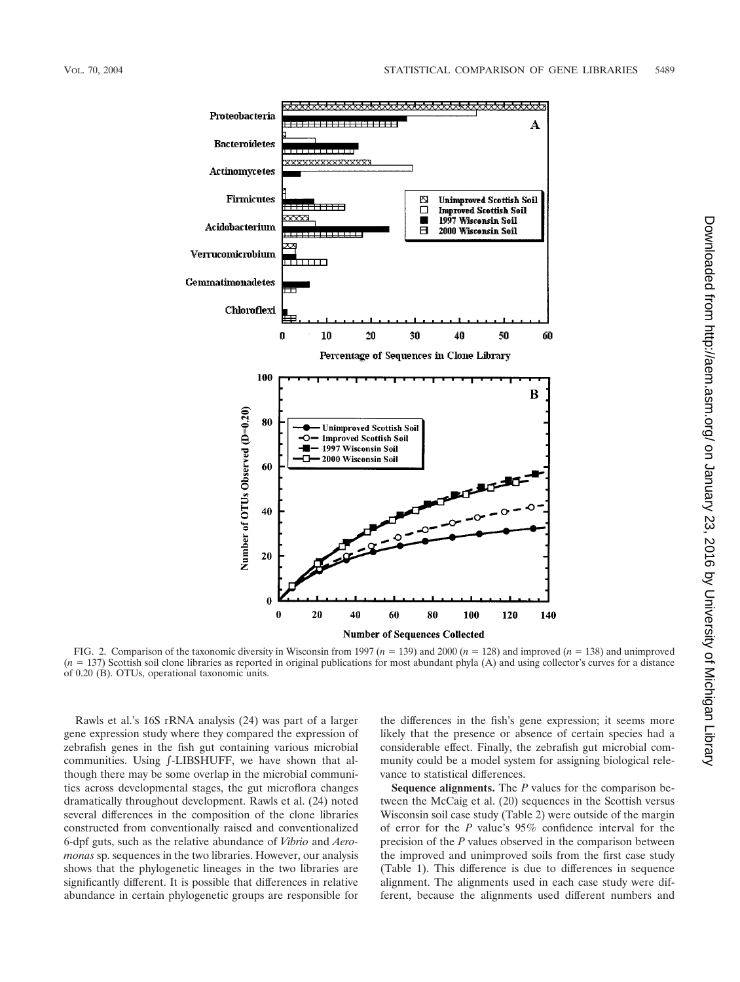

FIG. 2. Comparison of the taxonomic diversity in Wisconsin from 1997 ( $n = 139$ ) and 2000 ( $n = 128$ ) and improved ( $n = 138$ ) and unimproved  $(n = 137)$  Scottish soil clone libraries as reported in original publications for most abundant phyla (A) and using collector's curves for a distance of 0.20 (B). OTUs, operational taxonomic units.

Rawls et al.'s 16S rRNA analysis (24) was part of a larger gene expression study where they compared the expression of zebrafish genes in the fish gut containing various microbial communities. Using f-LIBSHUFF, we have shown that although there may be some overlap in the microbial communities across developmental stages, the gut microflora changes dramatically throughout development. Rawls et al. (24) noted several differences in the composition of the clone libraries constructed from conventionally raised and conventionalized 6-dpf guts, such as the relative abundance of *Vibrio* and *Aeromonas* sp. sequences in the two libraries. However, our analysis shows that the phylogenetic lineages in the two libraries are significantly different. It is possible that differences in relative abundance in certain phylogenetic groups are responsible for

the differences in the fish's gene expression; it seems more likely that the presence or absence of certain species had a considerable effect. Finally, the zebrafish gut microbial community could be a model system for assigning biological relevance to statistical differences.

**Sequence alignments.** The *P* values for the comparison between the McCaig et al. (20) sequences in the Scottish versus Wisconsin soil case study (Table 2) were outside of the margin of error for the *P* value's 95% confidence interval for the precision of the *P* values observed in the comparison between the improved and unimproved soils from the first case study (Table 1). This difference is due to differences in sequence alignment. The alignments used in each case study were different, because the alignments used different numbers and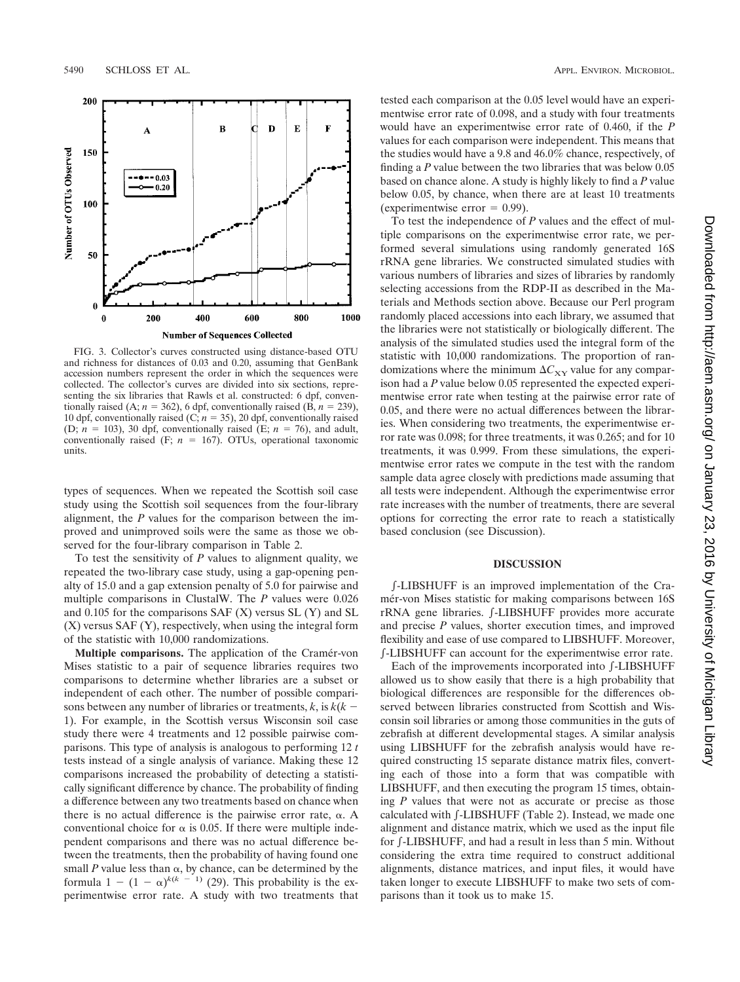A

 $\bullet$  = = 0.03  $-0.20$ 

200

150

100

50

Number of OTUs Observed

units.



 $\mathbf{D}$ 

 $\bf{B}$ 

E

Ē

types of sequences. When we repeated the Scottish soil case study using the Scottish soil sequences from the four-library alignment, the *P* values for the comparison between the improved and unimproved soils were the same as those we observed for the four-library comparison in Table 2.

To test the sensitivity of *P* values to alignment quality, we repeated the two-library case study, using a gap-opening penalty of 15.0 and a gap extension penalty of 5.0 for pairwise and multiple comparisons in ClustalW. The *P* values were 0.026 and 0.105 for the comparisons SAF (X) versus SL (Y) and SL (X) versus SAF (Y), respectively, when using the integral form of the statistic with 10,000 randomizations.

**Multiple comparisons.** The application of the Cramér-von Mises statistic to a pair of sequence libraries requires two comparisons to determine whether libraries are a subset or independent of each other. The number of possible comparisons between any number of libraries or treatments,  $k$ , is  $k(k - 1)$ 1). For example, in the Scottish versus Wisconsin soil case study there were 4 treatments and 12 possible pairwise comparisons. This type of analysis is analogous to performing 12 *t* tests instead of a single analysis of variance. Making these 12 comparisons increased the probability of detecting a statistically significant difference by chance. The probability of finding a difference between any two treatments based on chance when there is no actual difference is the pairwise error rate,  $\alpha$ . A conventional choice for  $\alpha$  is 0.05. If there were multiple independent comparisons and there was no actual difference between the treatments, then the probability of having found one small P value less than  $\alpha$ , by chance, can be determined by the formula  $1 - (1 - \alpha)^{k(k - 1)}$  (29). This probability is the experimentwise error rate. A study with two treatments that

tested each comparison at the 0.05 level would have an experimentwise error rate of 0.098, and a study with four treatments would have an experimentwise error rate of 0.460, if the *P* values for each comparison were independent. This means that the studies would have a 9.8 and 46.0% chance, respectively, of finding a *P* value between the two libraries that was below 0.05 based on chance alone. A study is highly likely to find a *P* value below 0.05, by chance, when there are at least 10 treatments (experimentwise error  $= 0.99$ ).

To test the independence of *P* values and the effect of multiple comparisons on the experimentwise error rate, we performed several simulations using randomly generated 16S rRNA gene libraries. We constructed simulated studies with various numbers of libraries and sizes of libraries by randomly selecting accessions from the RDP-II as described in the Materials and Methods section above. Because our Perl program randomly placed accessions into each library, we assumed that the libraries were not statistically or biologically different. The analysis of the simulated studies used the integral form of the statistic with 10,000 randomizations. The proportion of randomizations where the minimum  $\Delta C_{XY}$  value for any comparison had a *P* value below 0.05 represented the expected experimentwise error rate when testing at the pairwise error rate of 0.05, and there were no actual differences between the libraries. When considering two treatments, the experimentwise error rate was 0.098; for three treatments, it was 0.265; and for 10 treatments, it was 0.999. From these simulations, the experimentwise error rates we compute in the test with the random sample data agree closely with predictions made assuming that all tests were independent. Although the experimentwise error rate increases with the number of treatments, there are several options for correcting the error rate to reach a statistically based conclusion (see Discussion).

## **DISCUSSION**

--LIBSHUFF is an improved implementation of the Cramér-von Mises statistic for making comparisons between 16S rRNA gene libraries. J-LIBSHUFF provides more accurate and precise *P* values, shorter execution times, and improved flexibility and ease of use compared to LIBSHUFF. Moreover, --LIBSHUFF can account for the experimentwise error rate.

Each of the improvements incorporated into  $\int$ -LIBSHUFF allowed us to show easily that there is a high probability that biological differences are responsible for the differences observed between libraries constructed from Scottish and Wisconsin soil libraries or among those communities in the guts of zebrafish at different developmental stages. A similar analysis using LIBSHUFF for the zebrafish analysis would have required constructing 15 separate distance matrix files, converting each of those into a form that was compatible with LIBSHUFF, and then executing the program 15 times, obtaining *P* values that were not as accurate or precise as those calculated with ∫-LIBSHUFF (Table 2). Instead, we made one alignment and distance matrix, which we used as the input file for f-LIBSHUFF, and had a result in less than 5 min. Without considering the extra time required to construct additional alignments, distance matrices, and input files, it would have taken longer to execute LIBSHUFF to make two sets of comparisons than it took us to make 15.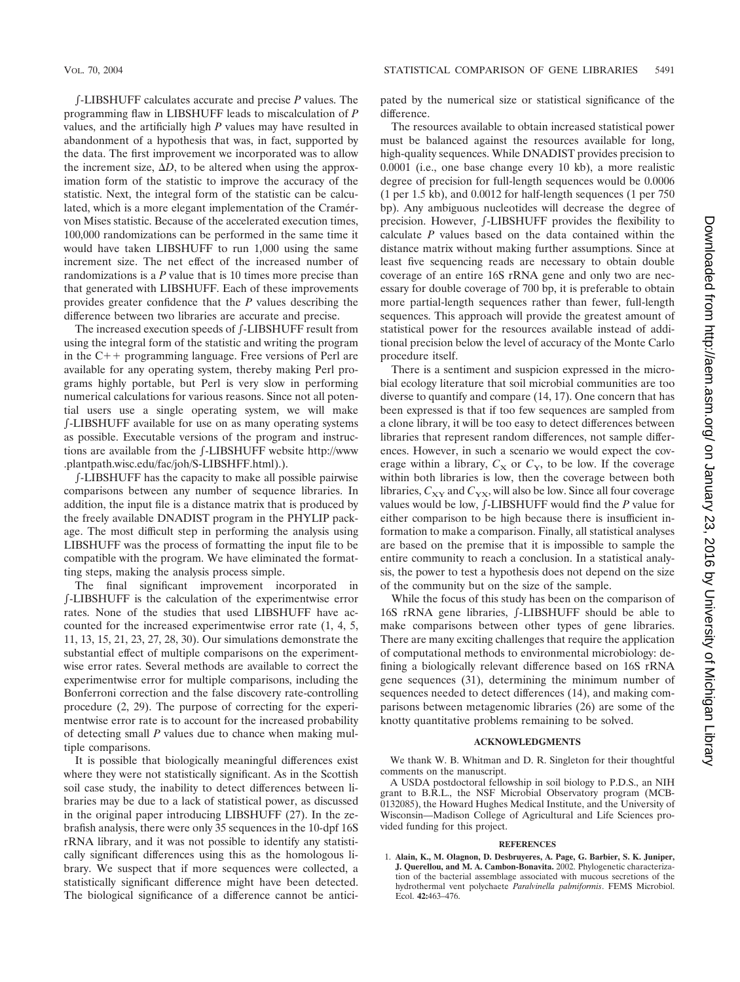--LIBSHUFF calculates accurate and precise *P* values. The programming flaw in LIBSHUFF leads to miscalculation of *P* values, and the artificially high *P* values may have resulted in abandonment of a hypothesis that was, in fact, supported by the data. The first improvement we incorporated was to allow the increment size,  $\Delta D$ , to be altered when using the approximation form of the statistic to improve the accuracy of the statistic. Next, the integral form of the statistic can be calculated, which is a more elegant implementation of the Cramérvon Mises statistic. Because of the accelerated execution times, 100,000 randomizations can be performed in the same time it would have taken LIBSHUFF to run 1,000 using the same increment size. The net effect of the increased number of randomizations is a *P* value that is 10 times more precise than that generated with LIBSHUFF. Each of these improvements provides greater confidence that the *P* values describing the difference between two libraries are accurate and precise.

The increased execution speeds of f-LIBSHUFF result from using the integral form of the statistic and writing the program in the  $C++$  programming language. Free versions of Perl are available for any operating system, thereby making Perl programs highly portable, but Perl is very slow in performing numerical calculations for various reasons. Since not all potential users use a single operating system, we will make --LIBSHUFF available for use on as many operating systems as possible. Executable versions of the program and instructions are available from the f-LIBSHUFF website http://www .plantpath.wisc.edu/fac/joh/S-LIBSHFF.html).).

--LIBSHUFF has the capacity to make all possible pairwise comparisons between any number of sequence libraries. In addition, the input file is a distance matrix that is produced by the freely available DNADIST program in the PHYLIP package. The most difficult step in performing the analysis using LIBSHUFF was the process of formatting the input file to be compatible with the program. We have eliminated the formatting steps, making the analysis process simple.

The final significant improvement incorporated in --LIBSHUFF is the calculation of the experimentwise error rates. None of the studies that used LIBSHUFF have accounted for the increased experimentwise error rate (1, 4, 5, 11, 13, 15, 21, 23, 27, 28, 30). Our simulations demonstrate the substantial effect of multiple comparisons on the experimentwise error rates. Several methods are available to correct the experimentwise error for multiple comparisons, including the Bonferroni correction and the false discovery rate-controlling procedure (2, 29). The purpose of correcting for the experimentwise error rate is to account for the increased probability of detecting small *P* values due to chance when making multiple comparisons.

It is possible that biologically meaningful differences exist where they were not statistically significant. As in the Scottish soil case study, the inability to detect differences between libraries may be due to a lack of statistical power, as discussed in the original paper introducing LIBSHUFF (27). In the zebrafish analysis, there were only 35 sequences in the 10-dpf 16S rRNA library, and it was not possible to identify any statistically significant differences using this as the homologous library. We suspect that if more sequences were collected, a statistically significant difference might have been detected. The biological significance of a difference cannot be anticipated by the numerical size or statistical significance of the difference.

The resources available to obtain increased statistical power must be balanced against the resources available for long, high-quality sequences. While DNADIST provides precision to 0.0001 (i.e., one base change every 10 kb), a more realistic degree of precision for full-length sequences would be 0.0006 (1 per 1.5 kb), and 0.0012 for half-length sequences (1 per 750 bp). Any ambiguous nucleotides will decrease the degree of precision. However,  $\int$ -LIBSHUFF provides the flexibility to calculate *P* values based on the data contained within the distance matrix without making further assumptions. Since at least five sequencing reads are necessary to obtain double coverage of an entire 16S rRNA gene and only two are necessary for double coverage of 700 bp, it is preferable to obtain more partial-length sequences rather than fewer, full-length sequences. This approach will provide the greatest amount of statistical power for the resources available instead of additional precision below the level of accuracy of the Monte Carlo procedure itself.

There is a sentiment and suspicion expressed in the microbial ecology literature that soil microbial communities are too diverse to quantify and compare (14, 17). One concern that has been expressed is that if too few sequences are sampled from a clone library, it will be too easy to detect differences between libraries that represent random differences, not sample differences. However, in such a scenario we would expect the coverage within a library,  $C_X$  or  $C_Y$ , to be low. If the coverage within both libraries is low, then the coverage between both libraries,  $C_{XY}$  and  $C_{YX}$ , will also be low. Since all four coverage values would be low, f-LIBSHUFF would find the *P* value for either comparison to be high because there is insufficient information to make a comparison. Finally, all statistical analyses are based on the premise that it is impossible to sample the entire community to reach a conclusion. In a statistical analysis, the power to test a hypothesis does not depend on the size of the community but on the size of the sample.

While the focus of this study has been on the comparison of 16S rRNA gene libraries,  $\int$ -LIBSHUFF should be able to make comparisons between other types of gene libraries. There are many exciting challenges that require the application of computational methods to environmental microbiology: defining a biologically relevant difference based on 16S rRNA gene sequences (31), determining the minimum number of sequences needed to detect differences (14), and making comparisons between metagenomic libraries (26) are some of the knotty quantitative problems remaining to be solved.

### **ACKNOWLEDGMENTS**

We thank W. B. Whitman and D. R. Singleton for their thoughtful comments on the manuscript.

A USDA postdoctoral fellowship in soil biology to P.D.S., an NIH grant to B.R.L., the NSF Microbial Observatory program (MCB-0132085), the Howard Hughes Medical Institute, and the University of Wisconsin—Madison College of Agricultural and Life Sciences provided funding for this project.

#### **REFERENCES**

1. **Alain, K., M. Olagnon, D. Desbruyeres, A. Page, G. Barbier, S. K. Juniper, J. Querellou, and M. A. Cambon-Bonavita.** 2002. Phylogenetic characterization of the bacterial assemblage associated with mucous secretions of the hydrothermal vent polychaete *Paralvinella palmiformis*. FEMS Microbiol. Ecol. **42:**463–476.